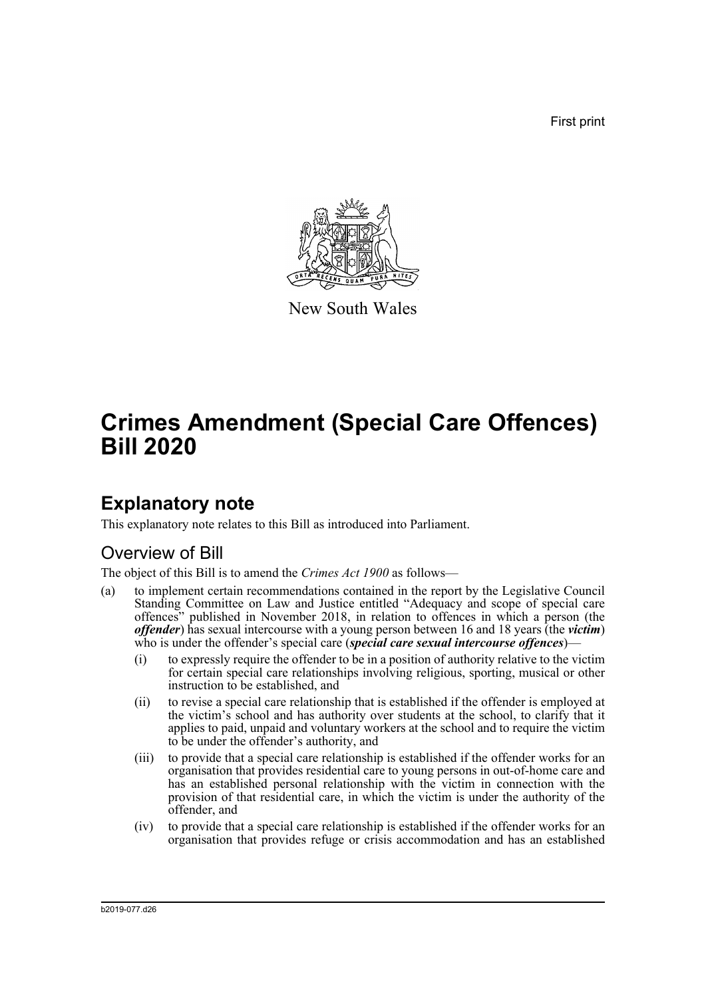First print



New South Wales

# **Crimes Amendment (Special Care Offences) Bill 2020**

## **Explanatory note**

This explanatory note relates to this Bill as introduced into Parliament.

## Overview of Bill

The object of this Bill is to amend the *Crimes Act 1900* as follows—

- (a) to implement certain recommendations contained in the report by the Legislative Council Standing Committee on Law and Justice entitled "Adequacy and scope of special care offences" published in November 2018, in relation to offences in which a person (the *offender*) has sexual intercourse with a young person between 16 and 18 years (the *victim*) who is under the offender's special care *(special care sexual intercourse offences*)–
	- (i) to expressly require the offender to be in a position of authority relative to the victim for certain special care relationships involving religious, sporting, musical or other instruction to be established, and
	- (ii) to revise a special care relationship that is established if the offender is employed at the victim's school and has authority over students at the school, to clarify that it applies to paid, unpaid and voluntary workers at the school and to require the victim to be under the offender's authority, and
	- (iii) to provide that a special care relationship is established if the offender works for an organisation that provides residential care to young persons in out-of-home care and has an established personal relationship with the victim in connection with the provision of that residential care, in which the victim is under the authority of the offender, and
	- (iv) to provide that a special care relationship is established if the offender works for an organisation that provides refuge or crisis accommodation and has an established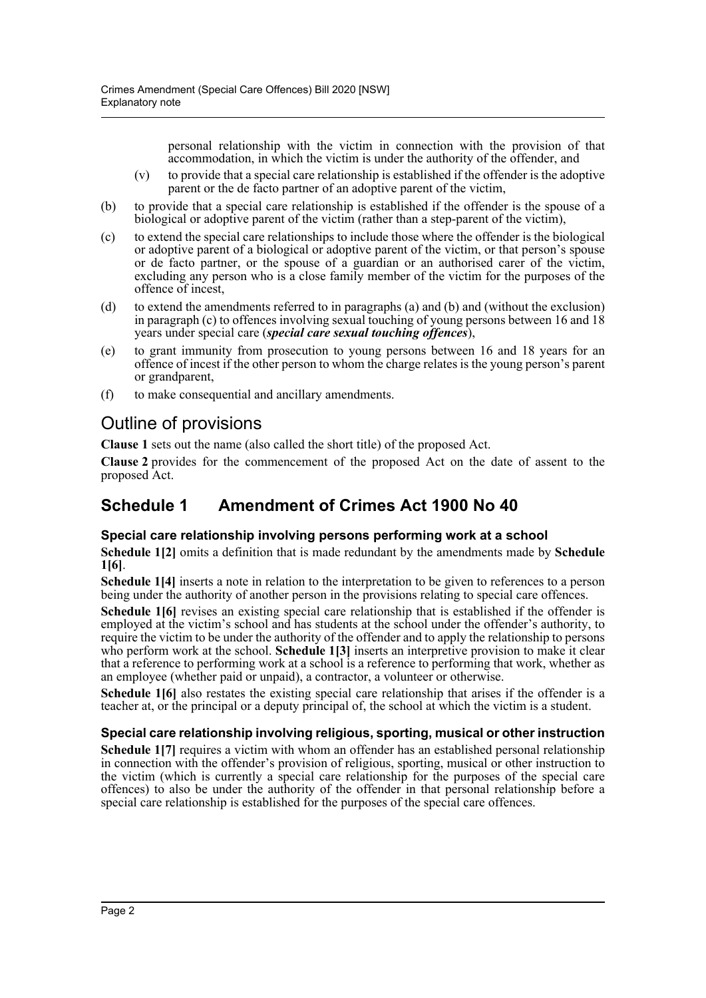personal relationship with the victim in connection with the provision of that accommodation, in which the victim is under the authority of the offender, and

- (v) to provide that a special care relationship is established if the offender is the adoptive parent or the de facto partner of an adoptive parent of the victim,
- (b) to provide that a special care relationship is established if the offender is the spouse of a biological or adoptive parent of the victim (rather than a step-parent of the victim),
- (c) to extend the special care relationships to include those where the offender is the biological or adoptive parent of a biological or adoptive parent of the victim, or that person's spouse or de facto partner, or the spouse of a guardian or an authorised carer of the victim, excluding any person who is a close family member of the victim for the purposes of the offence of incest,
- (d) to extend the amendments referred to in paragraphs (a) and (b) and (without the exclusion) in paragraph (c) to offences involving sexual touching of young persons between 16 and 18 years under special care (*special care sexual touching offences*),
- (e) to grant immunity from prosecution to young persons between 16 and 18 years for an offence of incest if the other person to whom the charge relates is the young person's parent or grandparent,
- (f) to make consequential and ancillary amendments.

### Outline of provisions

**Clause 1** sets out the name (also called the short title) of the proposed Act.

**Clause 2** provides for the commencement of the proposed Act on the date of assent to the proposed Act.

### **Schedule 1 Amendment of Crimes Act 1900 No 40**

### **Special care relationship involving persons performing work at a school**

**Schedule 1[2]** omits a definition that is made redundant by the amendments made by **Schedule 1[6]**.

**Schedule 1[4]** inserts a note in relation to the interpretation to be given to references to a person being under the authority of another person in the provisions relating to special care offences.

**Schedule 1[6]** revises an existing special care relationship that is established if the offender is employed at the victim's school and has students at the school under the offender's authority, to require the victim to be under the authority of the offender and to apply the relationship to persons who perform work at the school. **Schedule 1[3]** inserts an interpretive provision to make it clear that a reference to performing work at a school is a reference to performing that work, whether as an employee (whether paid or unpaid), a contractor, a volunteer or otherwise.

**Schedule 1[6]** also restates the existing special care relationship that arises if the offender is a teacher at, or the principal or a deputy principal of, the school at which the victim is a student.

### **Special care relationship involving religious, sporting, musical or other instruction**

**Schedule 1[7]** requires a victim with whom an offender has an established personal relationship in connection with the offender's provision of religious, sporting, musical or other instruction to the victim (which is currently a special care relationship for the purposes of the special care offences) to also be under the authority of the offender in that personal relationship before a special care relationship is established for the purposes of the special care offences.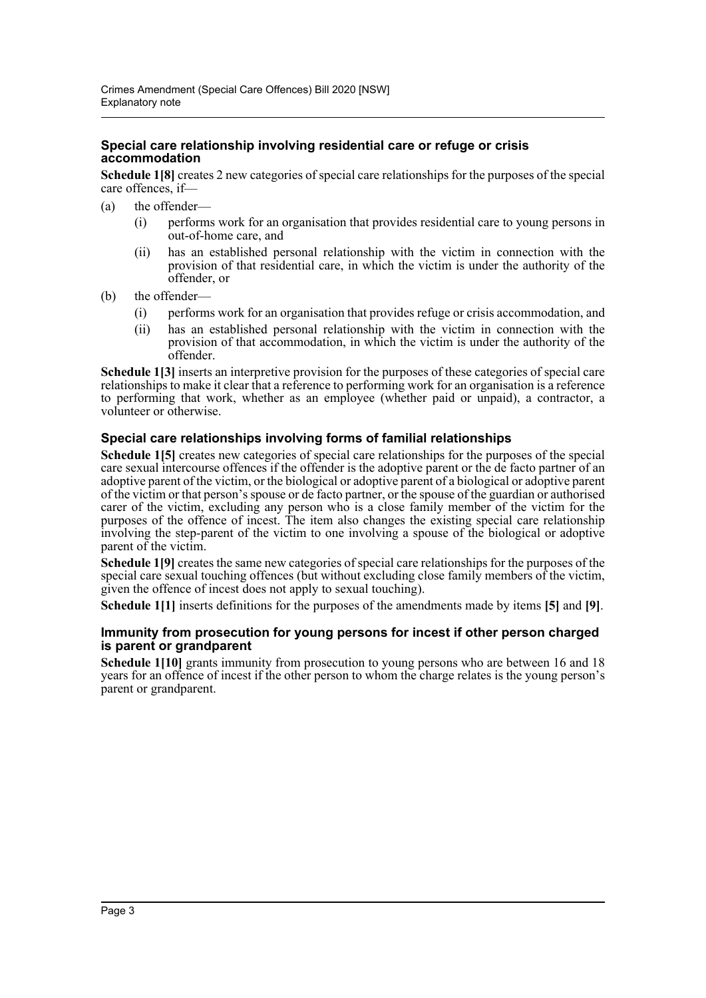#### **Special care relationship involving residential care or refuge or crisis accommodation**

**Schedule 1[8]** creates 2 new categories of special care relationships for the purposes of the special care offences, if—

- (a) the offender—
	- (i) performs work for an organisation that provides residential care to young persons in out-of-home care, and
	- (ii) has an established personal relationship with the victim in connection with the provision of that residential care, in which the victim is under the authority of the offender, or
- (b) the offender—
	- (i) performs work for an organisation that provides refuge or crisis accommodation, and
	- (ii) has an established personal relationship with the victim in connection with the provision of that accommodation, in which the victim is under the authority of the offender.

**Schedule 1[3]** inserts an interpretive provision for the purposes of these categories of special care relationships to make it clear that a reference to performing work for an organisation is a reference to performing that work, whether as an employee (whether paid or unpaid), a contractor, a volunteer or otherwise.

#### **Special care relationships involving forms of familial relationships**

**Schedule 1[5]** creates new categories of special care relationships for the purposes of the special care sexual intercourse offences if the offender is the adoptive parent or the de facto partner of an adoptive parent of the victim, or the biological or adoptive parent of a biological or adoptive parent of the victim or that person's spouse or de facto partner, or the spouse of the guardian or authorised carer of the victim, excluding any person who is a close family member of the victim for the purposes of the offence of incest. The item also changes the existing special care relationship involving the step-parent of the victim to one involving a spouse of the biological or adoptive parent of the victim.

**Schedule 1[9]** creates the same new categories of special care relationships for the purposes of the special care sexual touching offences (but without excluding close family members of the victim, given the offence of incest does not apply to sexual touching).

**Schedule 1[1]** inserts definitions for the purposes of the amendments made by items **[5]** and **[9]**.

#### **Immunity from prosecution for young persons for incest if other person charged is parent or grandparent**

**Schedule 1[10]** grants immunity from prosecution to young persons who are between 16 and 18 years for an offence of incest if the other person to whom the charge relates is the young person's parent or grandparent.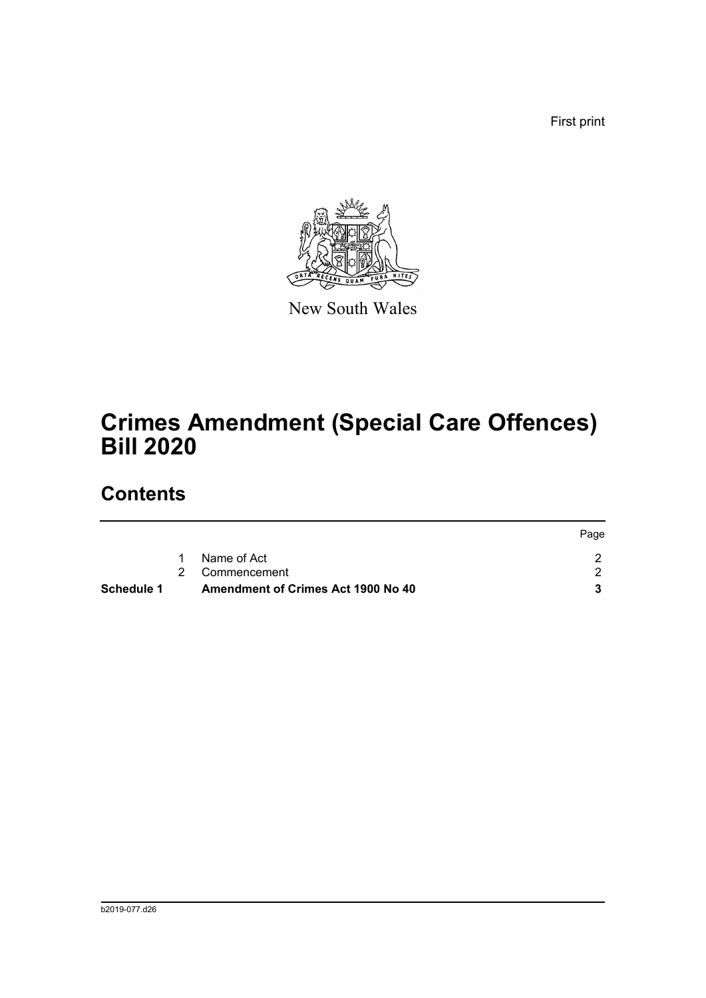First print



New South Wales

# **Crimes Amendment (Special Care Offences) Bill 2020**

## **Contents**

| Schedule 1 | <b>Amendment of Crimes Act 1900 No 40</b> |      |
|------------|-------------------------------------------|------|
|            | 2 Commencement                            |      |
|            | Name of Act                               |      |
|            |                                           | Page |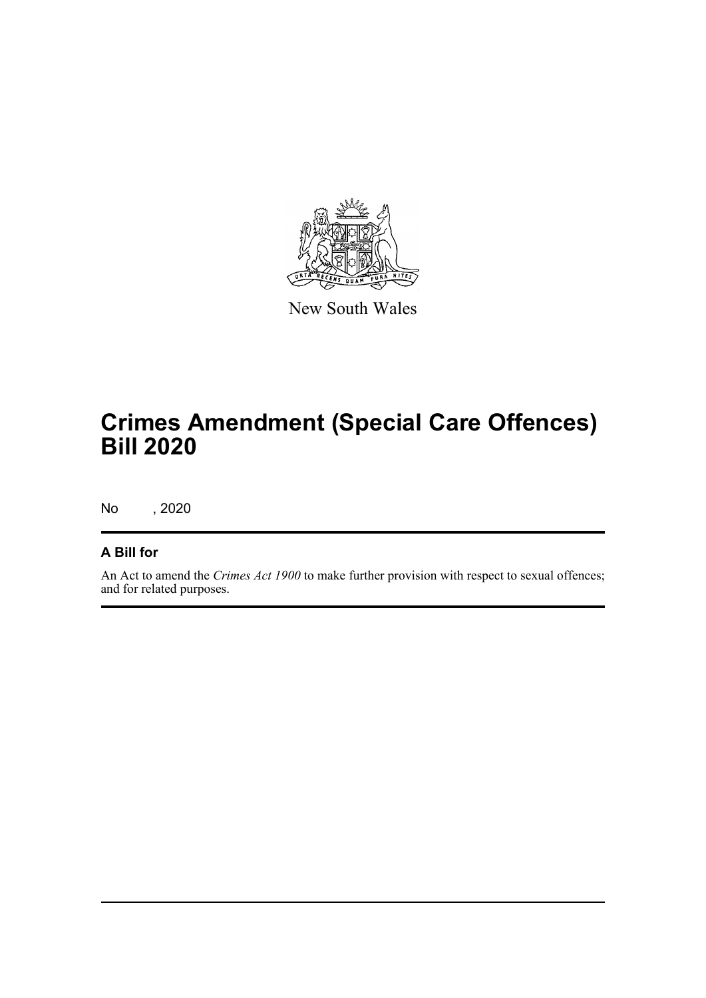

New South Wales

# **Crimes Amendment (Special Care Offences) Bill 2020**

No , 2020

### **A Bill for**

An Act to amend the *Crimes Act 1900* to make further provision with respect to sexual offences; and for related purposes.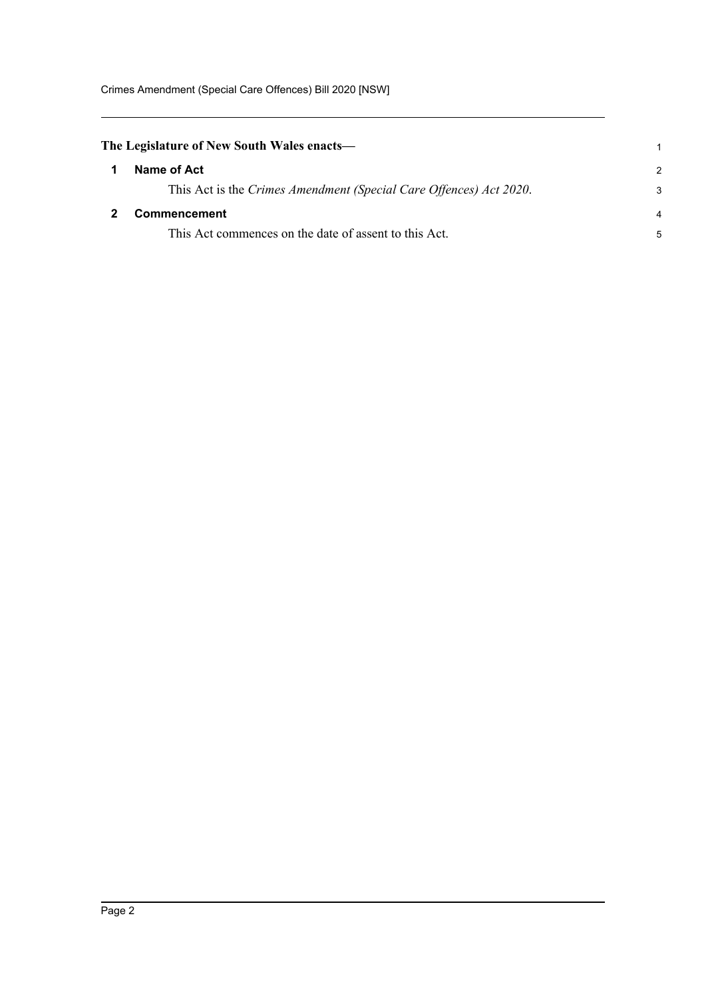Crimes Amendment (Special Care Offences) Bill 2020 [NSW]

<span id="page-5-1"></span><span id="page-5-0"></span>

| The Legislature of New South Wales enacts— |                                                                    |               |
|--------------------------------------------|--------------------------------------------------------------------|---------------|
|                                            | Name of Act                                                        | $\mathcal{P}$ |
|                                            | This Act is the Crimes Amendment (Special Care Offences) Act 2020. | 3             |
|                                            | <b>Commencement</b>                                                | 4             |
|                                            | This Act commences on the date of assent to this Act.              | 5             |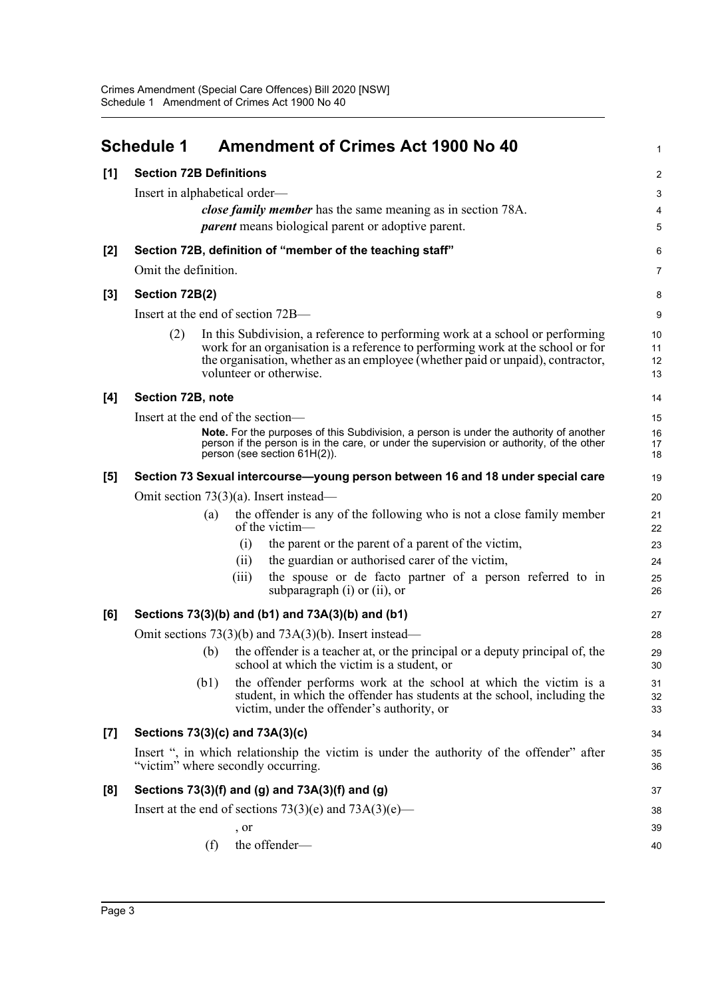<span id="page-6-0"></span>

|       | <b>Schedule 1</b>                                                                                                              |      | <b>Amendment of Crimes Act 1900 No 40</b>                                                                                                                                                                                                                                     | $\mathbf 1$          |  |  |  |  |
|-------|--------------------------------------------------------------------------------------------------------------------------------|------|-------------------------------------------------------------------------------------------------------------------------------------------------------------------------------------------------------------------------------------------------------------------------------|----------------------|--|--|--|--|
| [1]   | <b>Section 72B Definitions</b>                                                                                                 |      |                                                                                                                                                                                                                                                                               | $\overline{c}$       |  |  |  |  |
|       | Insert in alphabetical order—                                                                                                  |      |                                                                                                                                                                                                                                                                               | 3                    |  |  |  |  |
|       |                                                                                                                                |      | <i>close family member</i> has the same meaning as in section 78A.                                                                                                                                                                                                            | 4                    |  |  |  |  |
|       |                                                                                                                                |      | <i>parent</i> means biological parent or adoptive parent.                                                                                                                                                                                                                     | 5                    |  |  |  |  |
| [2]   |                                                                                                                                |      | Section 72B, definition of "member of the teaching staff"                                                                                                                                                                                                                     | 6                    |  |  |  |  |
|       | Omit the definition.                                                                                                           |      |                                                                                                                                                                                                                                                                               | $\overline{7}$       |  |  |  |  |
| [3]   | Section 72B(2)                                                                                                                 |      |                                                                                                                                                                                                                                                                               |                      |  |  |  |  |
|       | Insert at the end of section 72B—                                                                                              |      |                                                                                                                                                                                                                                                                               |                      |  |  |  |  |
|       | (2)                                                                                                                            |      | In this Subdivision, a reference to performing work at a school or performing<br>work for an organisation is a reference to performing work at the school or for<br>the organisation, whether as an employee (whether paid or unpaid), contractor,<br>volunteer or otherwise. | 10<br>11<br>12<br>13 |  |  |  |  |
| [4]   | Section 72B, note                                                                                                              |      |                                                                                                                                                                                                                                                                               | 14                   |  |  |  |  |
|       |                                                                                                                                |      | Insert at the end of the section-                                                                                                                                                                                                                                             | 15                   |  |  |  |  |
|       |                                                                                                                                |      | Note. For the purposes of this Subdivision, a person is under the authority of another<br>person if the person is in the care, or under the supervision or authority, of the other<br>person (see section 61H(2)).                                                            | 16<br>17<br>18       |  |  |  |  |
| [5]   |                                                                                                                                |      | Section 73 Sexual intercourse—young person between 16 and 18 under special care                                                                                                                                                                                               | 19                   |  |  |  |  |
|       | Omit section $73(3)(a)$ . Insert instead—                                                                                      |      |                                                                                                                                                                                                                                                                               |                      |  |  |  |  |
|       |                                                                                                                                | (a)  | the offender is any of the following who is not a close family member<br>of the victim $-$                                                                                                                                                                                    | 21<br>22             |  |  |  |  |
|       |                                                                                                                                |      | the parent or the parent of a parent of the victim,<br>(i)                                                                                                                                                                                                                    | 23                   |  |  |  |  |
|       |                                                                                                                                |      | the guardian or authorised carer of the victim,<br>(11)                                                                                                                                                                                                                       | 24                   |  |  |  |  |
|       |                                                                                                                                |      | the spouse or de facto partner of a person referred to in<br>(iii)<br>subparagraph $(i)$ or $(ii)$ , or                                                                                                                                                                       | 25<br>26             |  |  |  |  |
| [6]   |                                                                                                                                |      | Sections 73(3)(b) and (b1) and 73A(3)(b) and (b1)                                                                                                                                                                                                                             | 27                   |  |  |  |  |
|       |                                                                                                                                |      | Omit sections $73(3)(b)$ and $73A(3)(b)$ . Insert instead—                                                                                                                                                                                                                    | 28                   |  |  |  |  |
|       |                                                                                                                                | (b)  | the offender is a teacher at, or the principal or a deputy principal of, the<br>school at which the victim is a student, or                                                                                                                                                   | 29<br>30             |  |  |  |  |
|       |                                                                                                                                | (b1) | the offender performs work at the school at which the victim is a<br>student, in which the offender has students at the school, including the<br>victim, under the offender's authority, or                                                                                   | 31<br>32<br>33       |  |  |  |  |
| $[7]$ |                                                                                                                                |      | Sections 73(3)(c) and 73A(3)(c)                                                                                                                                                                                                                                               | 34                   |  |  |  |  |
|       | Insert ", in which relationship the victim is under the authority of the offender" after<br>"victim" where secondly occurring. |      |                                                                                                                                                                                                                                                                               |                      |  |  |  |  |
| [8]   |                                                                                                                                |      | Sections 73(3)(f) and (g) and 73A(3)(f) and (g)                                                                                                                                                                                                                               | 37                   |  |  |  |  |
|       |                                                                                                                                |      | Insert at the end of sections $73(3)(e)$ and $73A(3)(e)$ —                                                                                                                                                                                                                    | 38                   |  |  |  |  |
|       |                                                                                                                                |      | , or                                                                                                                                                                                                                                                                          | 39                   |  |  |  |  |
|       |                                                                                                                                | (f)  | the offender-                                                                                                                                                                                                                                                                 | 40                   |  |  |  |  |